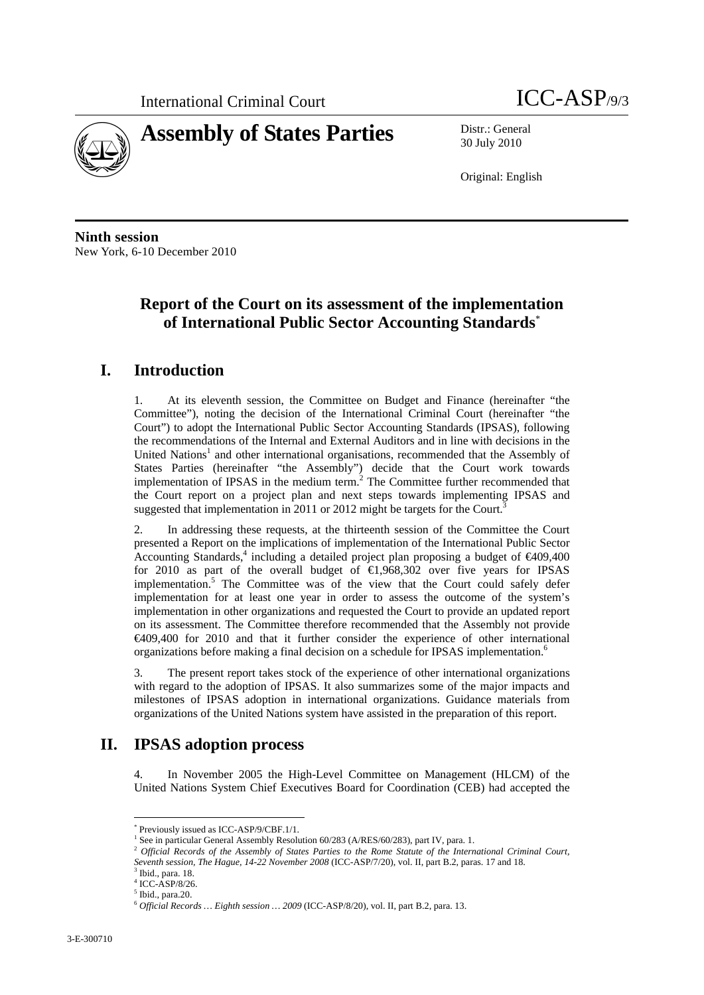

30 July 2010

Original: English

**Ninth session**  New York, 6-10 December 2010

# **Report of the Court on its assessment of the implementation of International Public Sector Accounting Standards**\*

## **I. Introduction**

1. At its eleventh session, the Committee on Budget and Finance (hereinafter "the Committee"), noting the decision of the International Criminal Court (hereinafter "the Court") to adopt the International Public Sector Accounting Standards (IPSAS), following the recommendations of the Internal and External Auditors and in line with decisions in the United Nations<sup>1</sup> and other international organisations, recommended that the Assembly of States Parties (hereinafter "the Assembly") decide that the Court work towards implementation of IPSAS in the medium term. $<sup>2</sup>$  The Committee further recommended that</sup> the Court report on a project plan and next steps towards implementing IPSAS and suggested that implementation in 2011 or 2012 might be targets for the Court.<sup>3</sup>

2. In addressing these requests, at the thirteenth session of the Committee the Court presented a Report on the implications of implementation of the International Public Sector Accounting Standards,<sup>4</sup> including a detailed project plan proposing a budget of  $\epsilon$ 409,400 for 2010 as part of the overall budget of  $\bigoplus$ , 968, 302 over five years for IPSAS implementation.<sup>5</sup> The Committee was of the view that the Court could safely defer implementation for at least one year in order to assess the outcome of the system's implementation in other organizations and requested the Court to provide an updated report on its assessment. The Committee therefore recommended that the Assembly not provide €409,400 for 2010 and that it further consider the experience of other international organizations before making a final decision on a schedule for IPSAS implementation.<sup>6</sup>

3. The present report takes stock of the experience of other international organizations with regard to the adoption of IPSAS. It also summarizes some of the major impacts and milestones of IPSAS adoption in international organizations. Guidance materials from organizations of the United Nations system have assisted in the preparation of this report.

## **II. IPSAS adoption process**

4. In November 2005 the High-Level Committee on Management (HLCM) of the United Nations System Chief Executives Board for Coordination (CEB) had accepted the

 $\overline{a}$ \* Previously issued as ICC-ASP/9/CBF.1/1.

See in particular General Assembly Resolution 60/283 (A/RES/60/283), part IV, para. 1.

<sup>&</sup>lt;sup>2</sup> Official Records of the Assembly of States Parties to the Rome Statute of the International Criminal Court, *Seventh session, The Hague, 14-22 November 2008* (ICC-ASP/7/20), vol. II, part B.2, paras. 17 and 18. <sup>3</sup> Ibid., para. 18.

<sup>4</sup> ICC-ASP/8/26.

<sup>5</sup> Ibid., para.20.

<sup>6</sup> *Official Records … Eighth session … 2009* (ICC-ASP/8/20), vol. II, part B.2, para. 13.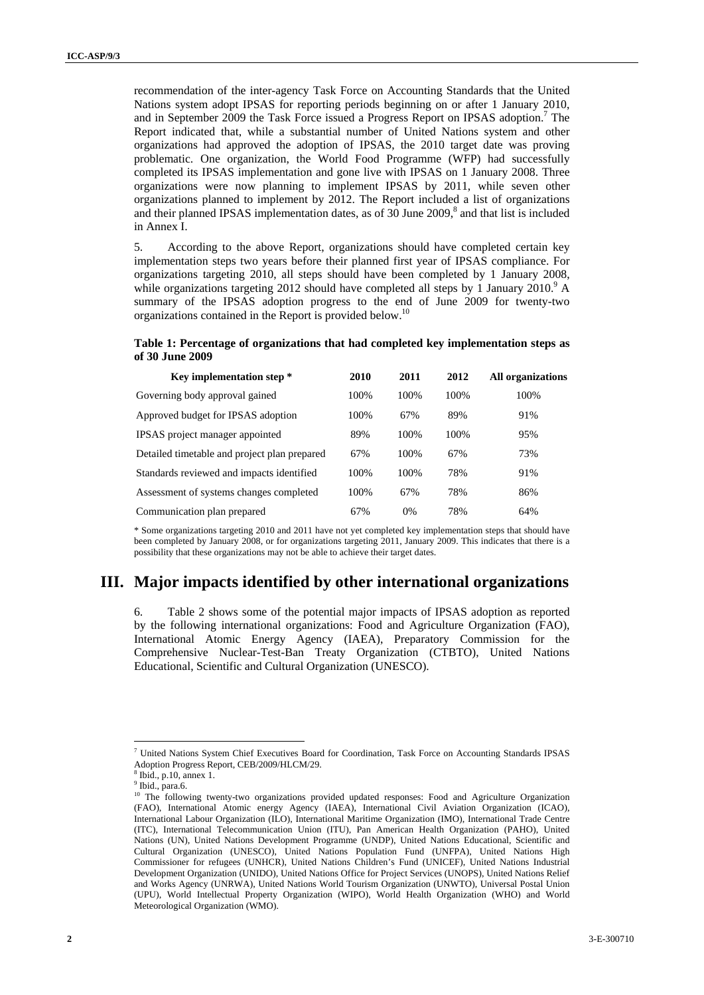recommendation of the inter-agency Task Force on Accounting Standards that the United Nations system adopt IPSAS for reporting periods beginning on or after 1 January 2010, and in September 2009 the Task Force issued a Progress Report on IPSAS adoption.<sup>7</sup> The Report indicated that, while a substantial number of United Nations system and other organizations had approved the adoption of IPSAS, the 2010 target date was proving problematic. One organization, the World Food Programme (WFP) had successfully completed its IPSAS implementation and gone live with IPSAS on 1 January 2008. Three organizations were now planning to implement IPSAS by 2011, while seven other organizations planned to implement by 2012. The Report included a list of organizations and their planned IPSAS implementation dates, as of  $30$  June  $2009$ ,<sup>8</sup> and that list is included in Annex I.

5. According to the above Report, organizations should have completed certain key implementation steps two years before their planned first year of IPSAS compliance. For organizations targeting 2010, all steps should have been completed by 1 January 2008, while organizations targeting 2012 should have completed all steps by 1 January 2010.<sup>9</sup> A summary of the IPSAS adoption progress to the end of June 2009 for twenty-two organizations contained in the Report is provided below.<sup>10</sup>

**Table 1: Percentage of organizations that had completed key implementation steps as of 30 June 2009** 

| Key implementation step *                    | 2010  | 2011 | 2012 | <b>All organizations</b> |
|----------------------------------------------|-------|------|------|--------------------------|
| Governing body approval gained               | 100%  | 100% | 100% | 100%                     |
| Approved budget for IPSAS adoption           | 100%  | 67%  | 89%  | 91%                      |
| IPSAS project manager appointed              | 89%   | 100% | 100% | 95%                      |
| Detailed timetable and project plan prepared | 67%   | 100% | 67%  | 73%                      |
| Standards reviewed and impacts identified    | 100%  | 100% | 78%  | 91%                      |
| Assessment of systems changes completed      | 100\% | 67%  | 78%  | 86%                      |
| Communication plan prepared                  | 67%   | 0%   | 78%  | 64%                      |

\* Some organizations targeting 2010 and 2011 have not yet completed key implementation steps that should have been completed by January 2008, or for organizations targeting 2011, January 2009. This indicates that there is a possibility that these organizations may not be able to achieve their target dates.

## **III. Major impacts identified by other international organizations**

6. Table 2 shows some of the potential major impacts of IPSAS adoption as reported by the following international organizations: Food and Agriculture Organization (FAO), International Atomic Energy Agency (IAEA), Preparatory Commission for the Comprehensive Nuclear-Test-Ban Treaty Organization (CTBTO), United Nations Educational, Scientific and Cultural Organization (UNESCO).

<sup>7</sup> United Nations System Chief Executives Board for Coordination, Task Force on Accounting Standards IPSAS Adoption Progress Report, CEB/2009/HLCM/29.

<sup>8</sup> Ibid., p.10, annex 1.

 $<sup>9</sup>$  Ibid., para.6.</sup>

<sup>&</sup>lt;sup>10</sup> The following twenty-two organizations provided updated responses: Food and Agriculture Organization (FAO), International Atomic energy Agency (IAEA), International Civil Aviation Organization (ICAO), International Labour Organization (ILO), International Maritime Organization (IMO), International Trade Centre (ITC), International Telecommunication Union (ITU), Pan American Health Organization (PAHO), United Nations (UN), United Nations Development Programme (UNDP), United Nations Educational, Scientific and Cultural Organization (UNESCO), United Nations Population Fund (UNFPA), United Nations High Commissioner for refugees (UNHCR), United Nations Children's Fund (UNICEF), United Nations Industrial Development Organization (UNIDO), United Nations Office for Project Services (UNOPS), United Nations Relief and Works Agency (UNRWA), United Nations World Tourism Organization (UNWTO), Universal Postal Union (UPU), World Intellectual Property Organization (WIPO), World Health Organization (WHO) and World Meteorological Organization (WMO).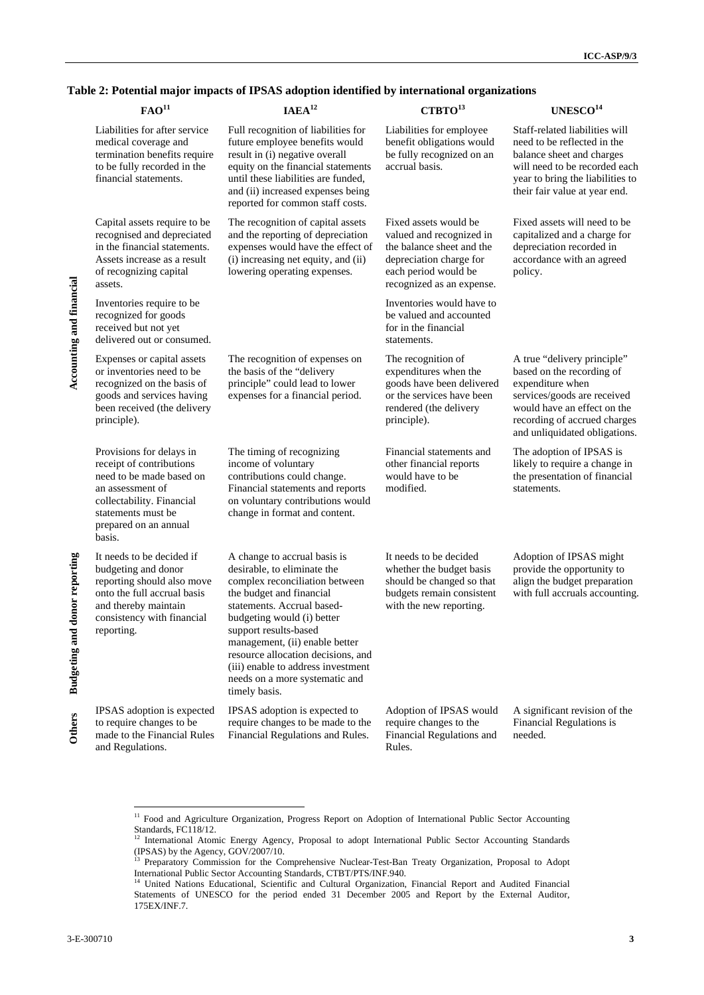### **Table 2: Potential major impacts of IPSAS adoption identified by international organizations**

|                                | FAO <sup>11</sup>                                                                                                                                                                          | IAEA <sup>12</sup>                                                                                                                                                                                                                                                                                                                                                              | CTBTO <sup>13</sup>                                                                                                                                            | UNESCO <sup>14</sup>                                                                                                                                                                                        |
|--------------------------------|--------------------------------------------------------------------------------------------------------------------------------------------------------------------------------------------|---------------------------------------------------------------------------------------------------------------------------------------------------------------------------------------------------------------------------------------------------------------------------------------------------------------------------------------------------------------------------------|----------------------------------------------------------------------------------------------------------------------------------------------------------------|-------------------------------------------------------------------------------------------------------------------------------------------------------------------------------------------------------------|
|                                | Liabilities for after service<br>medical coverage and<br>termination benefits require<br>to be fully recorded in the<br>financial statements.                                              | Full recognition of liabilities for<br>future employee benefits would<br>result in (i) negative overall<br>equity on the financial statements<br>until these liabilities are funded,<br>and (ii) increased expenses being<br>reported for common staff costs.                                                                                                                   | Liabilities for employee<br>benefit obligations would<br>be fully recognized on an<br>accrual basis.                                                           | Staff-related liabilities will<br>need to be reflected in the<br>balance sheet and charges<br>will need to be recorded each<br>year to bring the liabilities to<br>their fair value at year end.            |
|                                | Capital assets require to be<br>recognised and depreciated<br>in the financial statements.<br>Assets increase as a result<br>of recognizing capital<br>assets.                             | The recognition of capital assets<br>and the reporting of depreciation<br>expenses would have the effect of<br>(i) increasing net equity, and (ii)<br>lowering operating expenses.                                                                                                                                                                                              | Fixed assets would be<br>valued and recognized in<br>the balance sheet and the<br>depreciation charge for<br>each period would be<br>recognized as an expense. | Fixed assets will need to be<br>capitalized and a charge for<br>depreciation recorded in<br>accordance with an agreed<br>policy.                                                                            |
| Accounting and miancian        | Inventories require to be<br>recognized for goods<br>received but not yet<br>delivered out or consumed.                                                                                    |                                                                                                                                                                                                                                                                                                                                                                                 | Inventories would have to<br>be valued and accounted<br>for in the financial<br>statements.                                                                    |                                                                                                                                                                                                             |
|                                | Expenses or capital assets<br>or inventories need to be<br>recognized on the basis of<br>goods and services having<br>been received (the delivery<br>principle).                           | The recognition of expenses on<br>the basis of the "delivery<br>principle" could lead to lower<br>expenses for a financial period.                                                                                                                                                                                                                                              | The recognition of<br>expenditures when the<br>goods have been delivered<br>or the services have been<br>rendered (the delivery<br>principle).                 | A true "delivery principle"<br>based on the recording of<br>expenditure when<br>services/goods are received<br>would have an effect on the<br>recording of accrued charges<br>and unliquidated obligations. |
|                                | Provisions for delays in<br>receipt of contributions<br>need to be made based on<br>an assessment of<br>collectability. Financial<br>statements must be<br>prepared on an annual<br>basis. | The timing of recognizing<br>income of voluntary<br>contributions could change.<br>Financial statements and reports<br>on voluntary contributions would<br>change in format and content.                                                                                                                                                                                        | Financial statements and<br>other financial reports<br>would have to be<br>modified.                                                                           | The adoption of IPSAS is<br>likely to require a change in<br>the presentation of financial<br>statements.                                                                                                   |
| amon reporting<br>pungeung anu | It needs to be decided if<br>budgeting and donor<br>reporting should also move<br>onto the full accrual basis<br>and thereby maintain<br>consistency with financial<br>reporting.          | A change to accrual basis is<br>desirable, to eliminate the<br>complex reconciliation between<br>the budget and financial<br>statements. Accrual based-<br>budgeting would (i) better<br>support results-based<br>management, (ii) enable better<br>resource allocation decisions, and<br>(iii) enable to address investment<br>needs on a more systematic and<br>timely basis. | It needs to be decided<br>whether the budget basis<br>should be changed so that<br>budgets remain consistent<br>with the new reporting.                        | Adoption of IPSAS might<br>provide the opportunity to<br>align the budget preparation<br>with full accruals accounting.                                                                                     |
| Vuutis                         | IPSAS adoption is expected<br>to require changes to be<br>made to the Financial Rules<br>and Regulations.                                                                                  | IPSAS adoption is expected to<br>require changes to be made to the<br>Financial Regulations and Rules.                                                                                                                                                                                                                                                                          | Adoption of IPSAS would<br>require changes to the<br>Financial Regulations and<br>Rules.                                                                       | A significant revision of the<br>Financial Regulations is<br>needed.                                                                                                                                        |

<sup>&</sup>lt;sup>11</sup> Food and Agriculture Organization, Progress Report on Adoption of International Public Sector Accounting Standards, FC118/12.

<sup>&</sup>lt;sup>12</sup> International Atomic Energy Agency, Proposal to adopt International Public Sector Accounting Standards  $(IPSAS)$  by the Agency,  $GOV/2007/10$ .

<sup>13</sup> Preparatory Commission for the Comprehensive Nuclear-Test-Ban Treaty Organization, Proposal to Adopt International Public Sector Accounting Standards, CTBT/PTS/INF.940.<br><sup>14</sup> United Nations Educational, Scientific and Cultural Organization, Financial Report and Audited Financial

Statements of UNESCO for the period ended 31 December 2005 and Report by the External Auditor, 175EX/INF.7.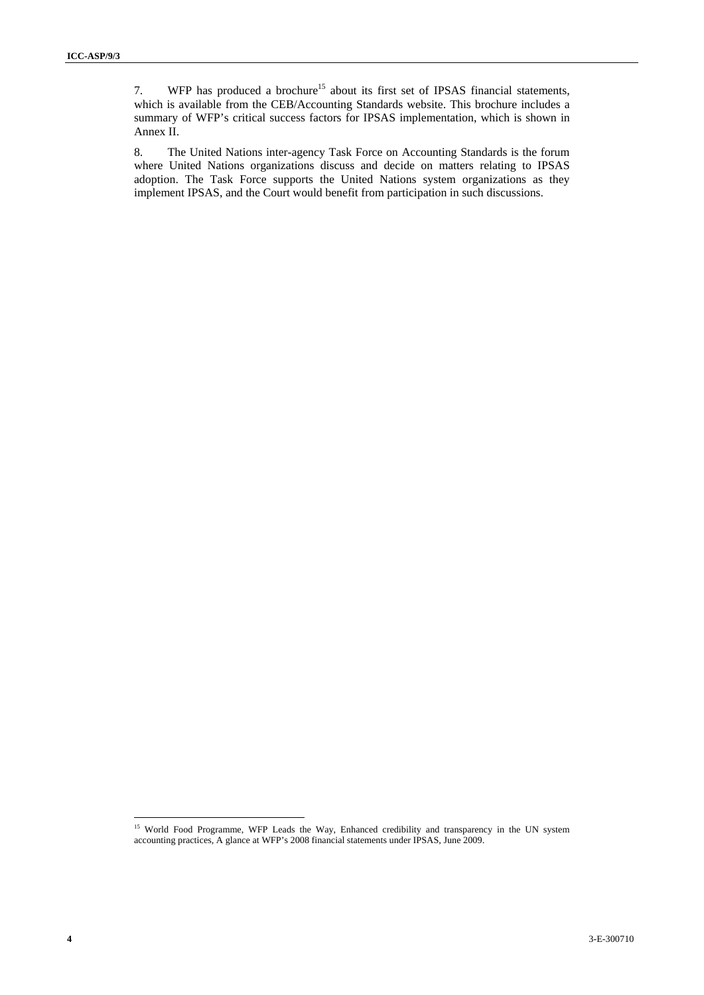7. WFP has produced a brochure<sup>15</sup> about its first set of IPSAS financial statements, which is available from the CEB/Accounting Standards website. This brochure includes a summary of WFP's critical success factors for IPSAS implementation, which is shown in Annex II.

8. The United Nations inter-agency Task Force on Accounting Standards is the forum where United Nations organizations discuss and decide on matters relating to IPSAS adoption. The Task Force supports the United Nations system organizations as they implement IPSAS, and the Court would benefit from participation in such discussions.

<sup>&</sup>lt;sup>15</sup> World Food Programme, WFP Leads the Way, Enhanced credibility and transparency in the UN system accounting practices, A glance at WFP's 2008 financial statements under IPSAS, June 2009.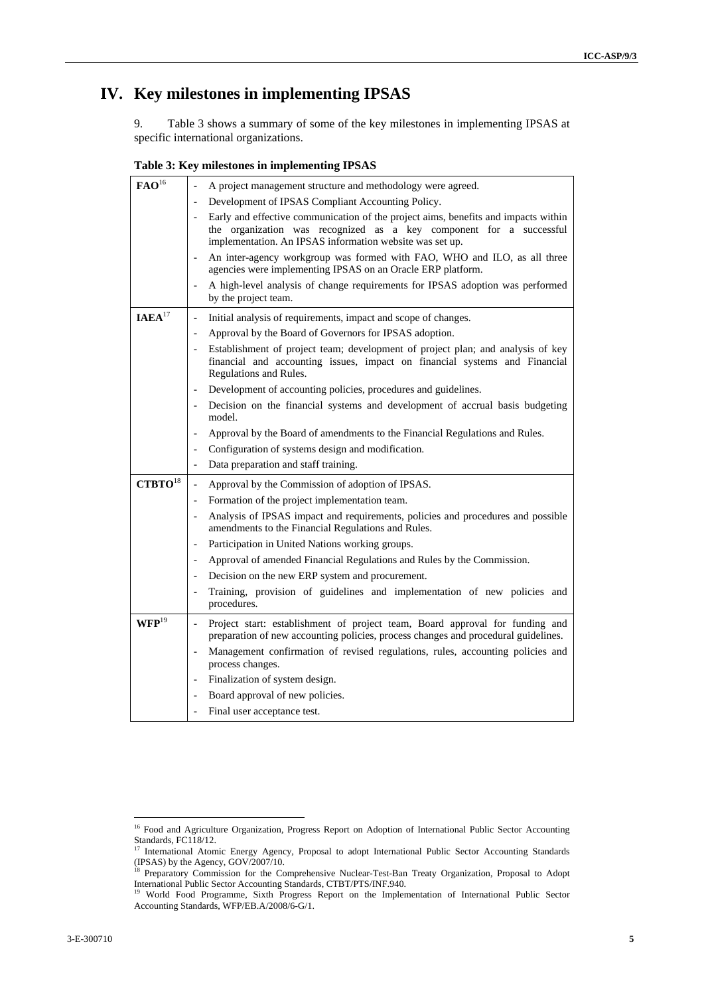# **IV. Key milestones in implementing IPSAS**

9. Table 3 shows a summary of some of the key milestones in implementing IPSAS at specific international organizations.

**Table 3: Key milestones in implementing IPSAS** 

| $\mathbf{FAO}^{16}$   | A project management structure and methodology were agreed.                                                                                                                                                           |  |
|-----------------------|-----------------------------------------------------------------------------------------------------------------------------------------------------------------------------------------------------------------------|--|
|                       | Development of IPSAS Compliant Accounting Policy.                                                                                                                                                                     |  |
|                       | Early and effective communication of the project aims, benefits and impacts within<br>the organization was recognized as a key component for a successful<br>implementation. An IPSAS information website was set up. |  |
|                       | An inter-agency workgroup was formed with FAO, WHO and ILO, as all three<br>$\overline{a}$<br>agencies were implementing IPSAS on an Oracle ERP platform.                                                             |  |
|                       | A high-level analysis of change requirements for IPSAS adoption was performed<br>by the project team.                                                                                                                 |  |
| IAEA <sup>17</sup>    | Initial analysis of requirements, impact and scope of changes.<br>$\qquad \qquad -$                                                                                                                                   |  |
|                       | Approval by the Board of Governors for IPSAS adoption.<br>$\overline{a}$                                                                                                                                              |  |
|                       | Establishment of project team; development of project plan; and analysis of key<br>financial and accounting issues, impact on financial systems and Financial<br>Regulations and Rules.                               |  |
|                       | Development of accounting policies, procedures and guidelines.<br>$\overline{a}$                                                                                                                                      |  |
|                       | Decision on the financial systems and development of accrual basis budgeting<br>$\overline{\phantom{0}}$<br>model.                                                                                                    |  |
|                       | Approval by the Board of amendments to the Financial Regulations and Rules.<br>$\overline{a}$                                                                                                                         |  |
|                       | Configuration of systems design and modification.<br>$\overline{a}$                                                                                                                                                   |  |
|                       | Data preparation and staff training.<br>$\frac{1}{2}$                                                                                                                                                                 |  |
| $CTBTO$ <sup>18</sup> | Approval by the Commission of adoption of IPSAS.<br>$\overline{\phantom{m}}$                                                                                                                                          |  |
|                       | Formation of the project implementation team.<br>$\overline{a}$                                                                                                                                                       |  |
|                       | Analysis of IPSAS impact and requirements, policies and procedures and possible<br>amendments to the Financial Regulations and Rules.                                                                                 |  |
|                       | Participation in United Nations working groups.<br>$\frac{1}{2}$                                                                                                                                                      |  |
|                       | Approval of amended Financial Regulations and Rules by the Commission.<br>$\overline{a}$                                                                                                                              |  |
|                       | Decision on the new ERP system and procurement.<br>$\overline{\phantom{a}}$                                                                                                                                           |  |
|                       | Training, provision of guidelines and implementation of new policies and<br>procedures.                                                                                                                               |  |
| $\mathbf{WFP}^{19}$   | Project start: establishment of project team, Board approval for funding and<br>$\overline{a}$<br>preparation of new accounting policies, process changes and procedural guidelines.                                  |  |
|                       | Management confirmation of revised regulations, rules, accounting policies and<br>$\qquad \qquad \blacksquare$<br>process changes.                                                                                    |  |
|                       | Finalization of system design.                                                                                                                                                                                        |  |
|                       | Board approval of new policies.<br>$\overline{a}$                                                                                                                                                                     |  |
|                       | Final user acceptance test.                                                                                                                                                                                           |  |

<sup>&</sup>lt;sup>16</sup> Food and Agriculture Organization, Progress Report on Adoption of International Public Sector Accounting Standards, FC118/12.

<sup>&</sup>lt;sup>17</sup> International Atomic Energy Agency, Proposal to adopt International Public Sector Accounting Standards (IPSAS) by the Agency, GOV/2007/10.

<sup>&</sup>lt;sup>18</sup> Preparatory Commission for the Comprehensive Nuclear-Test-Ban Treaty Organization, Proposal to Adopt International Public Sector Accounting Standards, CTBT/PTS/INF.940. 19 World Food Programme, Sixth Progress Report on the Implementation of International Public Sector

Accounting Standards, WFP/EB.A/2008/6-G/1.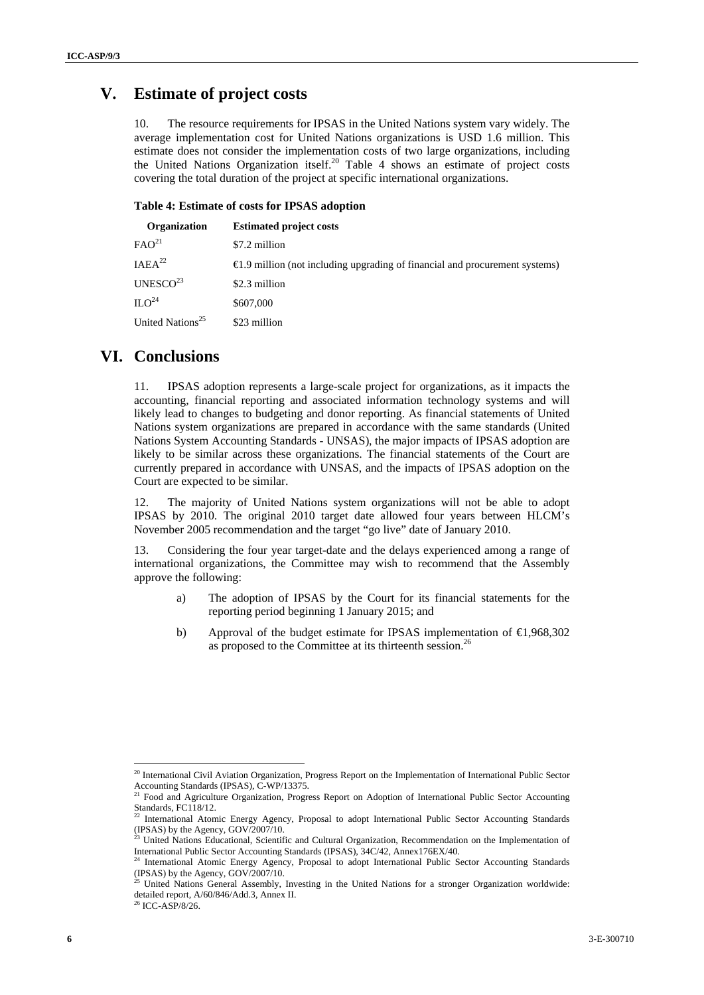## **V. Estimate of project costs**

10. The resource requirements for IPSAS in the United Nations system vary widely. The average implementation cost for United Nations organizations is USD 1.6 million. This estimate does not consider the implementation costs of two large organizations, including the United Nations Organization itself.<sup>20</sup> Table 4 shows an estimate of project costs covering the total duration of the project at specific international organizations.

#### **Table 4: Estimate of costs for IPSAS adoption**

| Organization                 | <b>Estimated project costs</b>                                                         |
|------------------------------|----------------------------------------------------------------------------------------|
| FAO <sup>21</sup>            | \$7.2 million                                                                          |
| IAEA <sup>22</sup>           | $\triangleq$ .9 million (not including upgrading of financial and procurement systems) |
| UNESCO $^{23}$               | \$2.3 million                                                                          |
| $ILO^{24}$                   | \$607,000                                                                              |
| United Nations <sup>25</sup> | \$23 million                                                                           |
|                              |                                                                                        |

## **VI. Conclusions**

11. IPSAS adoption represents a large-scale project for organizations, as it impacts the accounting, financial reporting and associated information technology systems and will likely lead to changes to budgeting and donor reporting. As financial statements of United Nations system organizations are prepared in accordance with the same standards (United Nations System Accounting Standards - UNSAS), the major impacts of IPSAS adoption are likely to be similar across these organizations. The financial statements of the Court are currently prepared in accordance with UNSAS, and the impacts of IPSAS adoption on the Court are expected to be similar.

12. The majority of United Nations system organizations will not be able to adopt IPSAS by 2010. The original 2010 target date allowed four years between HLCM's November 2005 recommendation and the target "go live" date of January 2010.

13. Considering the four year target-date and the delays experienced among a range of international organizations, the Committee may wish to recommend that the Assembly approve the following:

- a) The adoption of IPSAS by the Court for its financial statements for the reporting period beginning 1 January 2015; and
- b) Approval of the budget estimate for IPSAS implementation of  $\text{E}$ , 968, 302 as proposed to the Committee at its thirteenth session.<sup>26</sup>

<sup>&</sup>lt;sup>20</sup> International Civil Aviation Organization, Progress Report on the Implementation of International Public Sector Accounting Standards (IPSAS), C-WP/13375.

<sup>&</sup>lt;sup>21</sup> Food and Agriculture Organization, Progress Report on Adoption of International Public Sector Accounting Standards, FC118/12.

<sup>22</sup> International Atomic Energy Agency, Proposal to adopt International Public Sector Accounting Standards (IPSAS) by the Agency, GOV/2007/10.

<sup>&</sup>lt;sup>23</sup> United Nations Educational, Scientific and Cultural Organization, Recommendation on the Implementation of International Public Sector Accounting Standards (IPSAS), 34C/42, Annex176EX/40.<br><sup>24</sup> International Atomic Energy Agency, Proposal to adopt International Public Sector Accounting Standards

<sup>(</sup>IPSAS) by the Agency,  $GOV/2007/10$ .

<sup>&</sup>lt;sup>25</sup> United Nations General Assembly, Investing in the United Nations for a stronger Organization worldwide: detailed report, A/60/846/Add.3, Annex II.<br><sup>26</sup> ICC-ASP/8/26.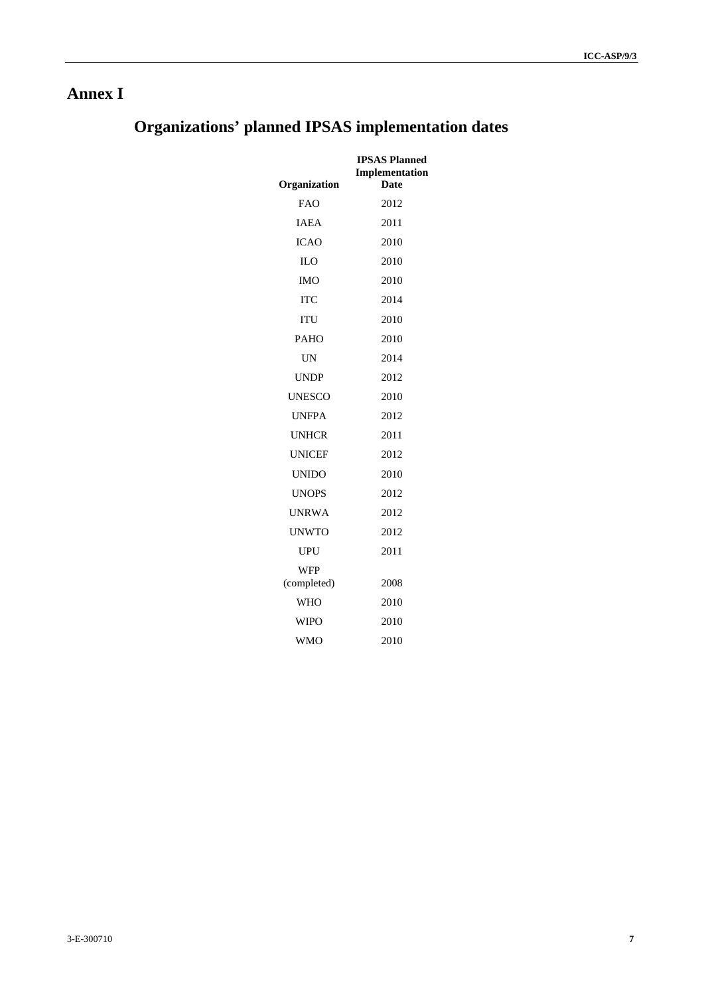# **Annex I**

# **Organizations' planned IPSAS implementation dates**

| Organization       | <b>IPSAS Planned</b><br>Implementation<br>Date |
|--------------------|------------------------------------------------|
| <b>FAO</b>         | 2012                                           |
| <b>IAEA</b>        | 2011                                           |
| <b>ICAO</b>        | 2010                                           |
| IL <sub>O</sub>    | 2010                                           |
| IMO                | 2010                                           |
| <b>ITC</b>         | 2014                                           |
| ITU                | 2010                                           |
| <b>PAHO</b>        | 2010                                           |
| <b>UN</b>          | 2014                                           |
| <b>UNDP</b>        | 2012                                           |
| UNESCO             | 2010                                           |
| UNFPA              | 2012                                           |
| <b>UNHCR</b>       | 2011                                           |
| <b>UNICEF</b>      | 2012                                           |
| <b>UNIDO</b>       | 2010                                           |
| <b>UNOPS</b>       | 2012                                           |
| <b>UNRWA</b>       | 2012                                           |
| <b>UNWTO</b>       | 2012                                           |
| UPU                | 2011                                           |
| WFP<br>(completed) | 2008                                           |
| <b>WHO</b>         | 2010                                           |
| WIPO               | 2010                                           |
| <b>WMO</b>         | 2010                                           |